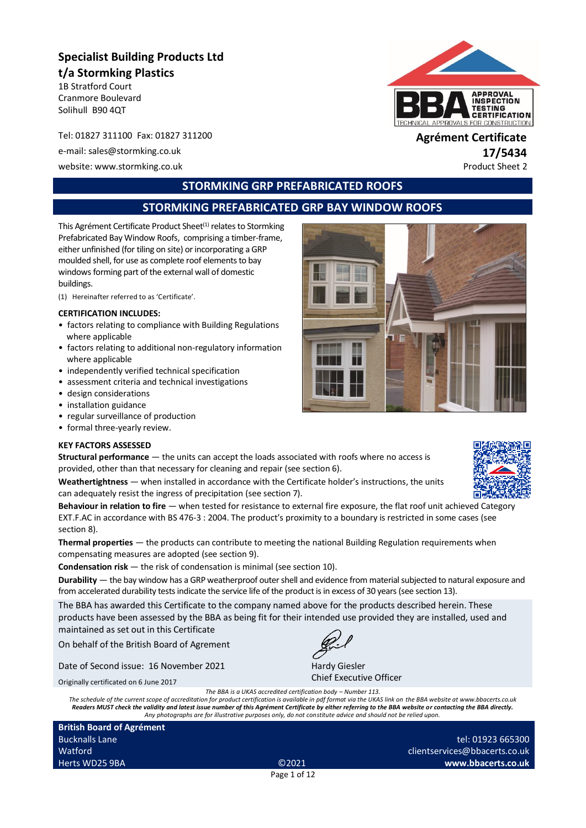# **Specialist Building Products Ltd t/a Stormking Plastics**

1B Stratford Court Cranmore Boulevard Solihull B90 4QT

Tel: 01827 311100 Fax: 01827 311200 **Agrément Certificate**

e-mail: sales@stormking.co.uk **17/5434**

website: www.stormking.co.uk **Product Sheet 2** 



# **STORMKING GRP PREFABRICATED ROOFS**

# **STORMKING PREFABRICATED GRP BAY WINDOW ROOFS**

This Agrément Certificate Product Sheet<sup>(1)</sup> relates to Stormking Prefabricated Bay Window Roofs, comprising a timber-frame, either unfinished (for tiling on site) or incorporating a GRP moulded shell, for use as complete roof elements to bay windows forming part of the external wall of domestic buildings.

(1) Hereinafter referred to as 'Certificate'.

#### **CERTIFICATION INCLUDES:**

- factors relating to compliance with Building Regulations where applicable
- factors relating to additional non-regulatory information where applicable
- independently verified technical specification
- assessment criteria and technical investigations
- design considerations
- installation guidance
- regular surveillance of production
- formal three-yearly review.

#### **KEY FACTORS ASSESSED**

**Structural performance** — the units can accept the loads associated with roofs where no access is provided, other than that necessary for cleaning and repair (see section 6).

**Weathertightness** — when installed in accordance with the Certificate holder's instructions, the units can adequately resist the ingress of precipitation (see section 7).

**Behaviour in relation to fire** — when tested for resistance to external fire exposure, the flat roof unit achieved Category EXT.F.AC in accordance with BS 476-3 : 2004. The product's proximity to a boundary is restricted in some cases (see section 8).

**Thermal properties** — the products can contribute to meeting the national Building Regulation requirements when compensating measures are adopted (see section 9).

**Condensation risk** — the risk of condensation is minimal (see section 10).

**Durability** — the bay window has a GRP weatherproof outer shell and evidence from material subjected to natural exposure and from accelerated durability tests indicate the service life of the product is in excess of 30 years (see section 13).

The BBA has awarded this Certificate to the company named above for the products described herein. These products have been assessed by the BBA as being fit for their intended use provided they are installed, used and maintained as set out in this Certificate

On behalf of the British Board of Agrement

Date of Second issue: 16 November 2021

Hardy Giesler

Chief Executive Officer

Originally certificated on 6 June 2017

*The BBA is a UKAS accredited certification body – Number 113.*

*The schedule of the current scope of accreditation for product certification is available in pdf format via the UKAS link on the BBA website at www.bbacerts.co.uk* Readers MUST check the validity and latest issue number of this Agrément Certificate by either referring to the BBA website or contacting the BBA directly.<br>Any photographs are for illustrative purposes only, do not constit

**British Board of Agrément** Bucknalls Lane Watford Herts WD25 9BA ©2021

tel: 01923 665300 clientservices@bbacerts.co.uk **www.bbacerts.co.uk**

Page 1 of 12

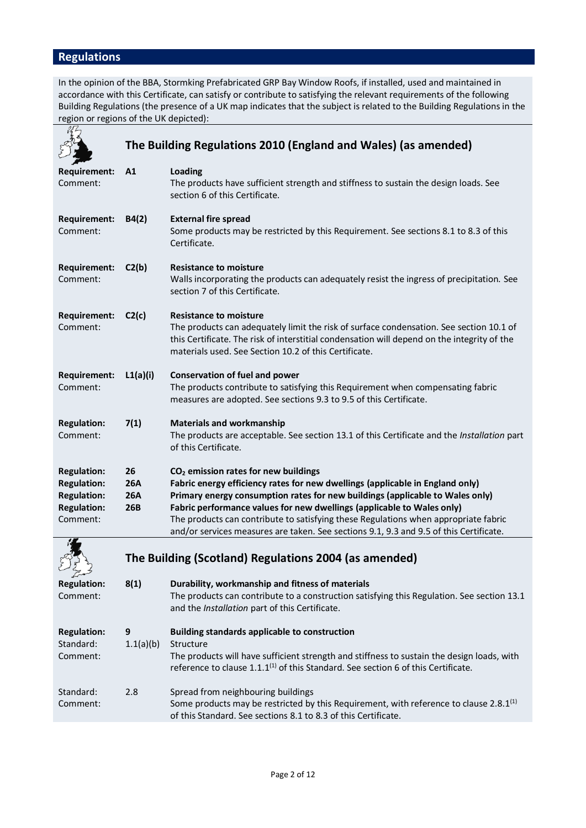# **Regulations**

In the opinion of the BBA, Stormking Prefabricated GRP Bay Window Roofs, if installed, used and maintained in accordance with this Certificate, can satisfy or contribute to satisfying the relevant requirements of the following Building Regulations (the presence of a UK map indicates that the subject is related to the Building Regulations in the region or regions of the UK depicted):

|                                                                                                  | The Building Regulations 2010 (England and Wales) (as amended) |                                                                                                                                                                                                                                                                                                                                                                                                                                                                               |  |
|--------------------------------------------------------------------------------------------------|----------------------------------------------------------------|-------------------------------------------------------------------------------------------------------------------------------------------------------------------------------------------------------------------------------------------------------------------------------------------------------------------------------------------------------------------------------------------------------------------------------------------------------------------------------|--|
| Requirement:<br>Comment:                                                                         | A1                                                             | Loading<br>The products have sufficient strength and stiffness to sustain the design loads. See<br>section 6 of this Certificate.                                                                                                                                                                                                                                                                                                                                             |  |
| <b>Requirement:</b><br>Comment:                                                                  | B4(2)                                                          | <b>External fire spread</b><br>Some products may be restricted by this Requirement. See sections 8.1 to 8.3 of this<br>Certificate.                                                                                                                                                                                                                                                                                                                                           |  |
| <b>Requirement:</b><br>Comment:                                                                  | C2(b)                                                          | <b>Resistance to moisture</b><br>Walls incorporating the products can adequately resist the ingress of precipitation. See<br>section 7 of this Certificate.                                                                                                                                                                                                                                                                                                                   |  |
| <b>Requirement:</b><br>Comment:                                                                  | C2(c)                                                          | <b>Resistance to moisture</b><br>The products can adequately limit the risk of surface condensation. See section 10.1 of<br>this Certificate. The risk of interstitial condensation will depend on the integrity of the<br>materials used. See Section 10.2 of this Certificate.                                                                                                                                                                                              |  |
| <b>Requirement:</b><br>Comment:                                                                  | L1(a)(i)                                                       | <b>Conservation of fuel and power</b><br>The products contribute to satisfying this Requirement when compensating fabric<br>measures are adopted. See sections 9.3 to 9.5 of this Certificate.                                                                                                                                                                                                                                                                                |  |
| <b>Regulation:</b><br>Comment:                                                                   | 7(1)                                                           | <b>Materials and workmanship</b><br>The products are acceptable. See section 13.1 of this Certificate and the Installation part<br>of this Certificate.                                                                                                                                                                                                                                                                                                                       |  |
| <b>Regulation:</b><br><b>Regulation:</b><br><b>Regulation:</b><br><b>Regulation:</b><br>Comment: | 26<br><b>26A</b><br><b>26A</b><br>26B                          | CO <sub>2</sub> emission rates for new buildings<br>Fabric energy efficiency rates for new dwellings (applicable in England only)<br>Primary energy consumption rates for new buildings (applicable to Wales only)<br>Fabric performance values for new dwellings (applicable to Wales only)<br>The products can contribute to satisfying these Regulations when appropriate fabric<br>and/or services measures are taken. See sections 9.1, 9.3 and 9.5 of this Certificate. |  |
|                                                                                                  |                                                                | The Building (Scotland) Regulations 2004 (as amended)                                                                                                                                                                                                                                                                                                                                                                                                                         |  |
| كحسير سيريم                                                                                      |                                                                |                                                                                                                                                                                                                                                                                                                                                                                                                                                                               |  |
| <b>Regulation:</b><br>Comment:                                                                   | 8(1)                                                           | Durability, workmanship and fitness of materials<br>The products can contribute to a construction satisfying this Regulation. See section 13.1<br>and the Installation part of this Certificate.                                                                                                                                                                                                                                                                              |  |
| <b>Regulation:</b><br>Standard:<br>Comment:                                                      | 9<br>1.1(a)(b)                                                 | <b>Building standards applicable to construction</b><br>Structure<br>The products will have sufficient strength and stiffness to sustain the design loads, with<br>reference to clause $1.1.1^{(1)}$ of this Standard. See section 6 of this Certificate.                                                                                                                                                                                                                     |  |
| Standard:<br>Comment:                                                                            | 2.8                                                            | Spread from neighbouring buildings<br>Some products may be restricted by this Requirement, with reference to clause 2.8.1 <sup>(1)</sup><br>of this Standard. See sections 8.1 to 8.3 of this Certificate.                                                                                                                                                                                                                                                                    |  |
|                                                                                                  |                                                                |                                                                                                                                                                                                                                                                                                                                                                                                                                                                               |  |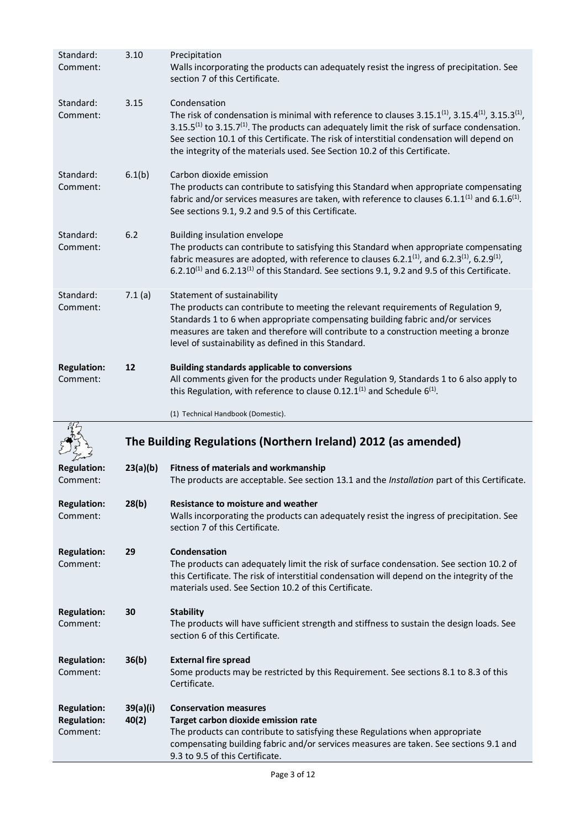| Standard:<br>Comment:          | 3.10     | Precipitation<br>Walls incorporating the products can adequately resist the ingress of precipitation. See<br>section 7 of this Certificate.                                                                                                                                                                                                                                                                                                               |
|--------------------------------|----------|-----------------------------------------------------------------------------------------------------------------------------------------------------------------------------------------------------------------------------------------------------------------------------------------------------------------------------------------------------------------------------------------------------------------------------------------------------------|
| Standard:<br>Comment:          | 3.15     | Condensation<br>The risk of condensation is minimal with reference to clauses 3.15.1 <sup>(1)</sup> , 3.15.4 <sup>(1)</sup> , 3.15.3 <sup>(1)</sup> ,<br>3.15.5 <sup>(1)</sup> to 3.15.7 <sup>(1)</sup> . The products can adequately limit the risk of surface condensation.<br>See section 10.1 of this Certificate. The risk of interstitial condensation will depend on<br>the integrity of the materials used. See Section 10.2 of this Certificate. |
| Standard:<br>Comment:          | 6.1(b)   | Carbon dioxide emission<br>The products can contribute to satisfying this Standard when appropriate compensating<br>fabric and/or services measures are taken, with reference to clauses 6.1.1 <sup>(1)</sup> and 6.1.6 <sup>(1)</sup> .<br>See sections 9.1, 9.2 and 9.5 of this Certificate.                                                                                                                                                            |
| Standard:<br>Comment:          | 6.2      | Building insulation envelope<br>The products can contribute to satisfying this Standard when appropriate compensating<br>fabric measures are adopted, with reference to clauses 6.2.1 <sup>(1)</sup> , and 6.2.3 <sup>(1)</sup> , 6.2.9 <sup>(1)</sup> ,<br>6.2.10 <sup>(1)</sup> and 6.2.13 <sup>(1)</sup> of this Standard. See sections 9.1, 9.2 and 9.5 of this Certificate.                                                                          |
| Standard:<br>Comment:          | 7.1(a)   | Statement of sustainability<br>The products can contribute to meeting the relevant requirements of Regulation 9,<br>Standards 1 to 6 when appropriate compensating building fabric and/or services<br>measures are taken and therefore will contribute to a construction meeting a bronze<br>level of sustainability as defined in this Standard.                                                                                                         |
| <b>Regulation:</b><br>Comment: | 12       | <b>Building standards applicable to conversions</b><br>All comments given for the products under Regulation 9, Standards 1 to 6 also apply to<br>this Regulation, with reference to clause 0.12.1 <sup>(1)</sup> and Schedule $6^{(1)}$ .                                                                                                                                                                                                                 |
|                                |          |                                                                                                                                                                                                                                                                                                                                                                                                                                                           |
|                                |          | (1) Technical Handbook (Domestic).                                                                                                                                                                                                                                                                                                                                                                                                                        |
|                                |          | The Building Regulations (Northern Ireland) 2012 (as amended)                                                                                                                                                                                                                                                                                                                                                                                             |
| <b>Regulation:</b><br>Comment: | 23(a)(b) | Fitness of materials and workmanship<br>The products are acceptable. See section 13.1 and the Installation part of this Certificate.                                                                                                                                                                                                                                                                                                                      |
| <b>Regulation:</b><br>Comment: | 28(b)    | <b>Resistance to moisture and weather</b><br>Walls incorporating the products can adequately resist the ingress of precipitation. See<br>section 7 of this Certificate.                                                                                                                                                                                                                                                                                   |
| <b>Regulation:</b><br>Comment: | 29       | Condensation<br>The products can adequately limit the risk of surface condensation. See section 10.2 of<br>this Certificate. The risk of interstitial condensation will depend on the integrity of the<br>materials used. See Section 10.2 of this Certificate.                                                                                                                                                                                           |
| <b>Regulation:</b><br>Comment: | 30       | <b>Stability</b><br>The products will have sufficient strength and stiffness to sustain the design loads. See<br>section 6 of this Certificate.                                                                                                                                                                                                                                                                                                           |
| <b>Regulation:</b><br>Comment: | 36(b)    | <b>External fire spread</b><br>Some products may be restricted by this Requirement. See sections 8.1 to 8.3 of this<br>Certificate.                                                                                                                                                                                                                                                                                                                       |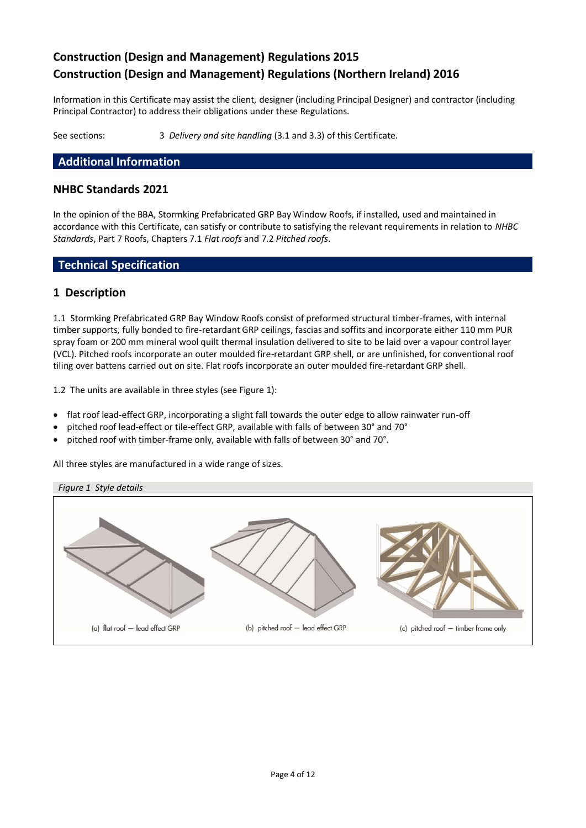# **Construction (Design and Management) Regulations 2015 Construction (Design and Management) Regulations (Northern Ireland) 2016**

Information in this Certificate may assist the client, designer (including Principal Designer) and contractor (including Principal Contractor) to address their obligations under these Regulations.

See sections: 3 *Delivery and site handling* (3.1 and 3.3) of this Certificate.

## **Additional Information**

#### **NHBC Standards 2021**

In the opinion of the BBA, Stormking Prefabricated GRP Bay Window Roofs, if installed, used and maintained in accordance with this Certificate, can satisfy or contribute to satisfying the relevant requirements in relation to *NHBC Standards*, Part 7 Roofs, Chapters 7.1 *Flat roofs* and 7.2 *Pitched roofs*.

#### **Technical Specification**

#### **1 Description**

1.1 Stormking Prefabricated GRP Bay Window Roofs consist of preformed structural timber-frames, with internal timber supports, fully bonded to fire-retardant GRP ceilings, fascias and soffits and incorporate either 110 mm PUR spray foam or 200 mm mineral wool quilt thermal insulation delivered to site to be laid over a vapour control layer (VCL). Pitched roofs incorporate an outer moulded fire-retardant GRP shell, or are unfinished, for conventional roof tiling over battens carried out on site. Flat roofs incorporate an outer moulded fire-retardant GRP shell.

1.2 The units are available in three styles (see Figure 1):

- flat roof lead-effect GRP, incorporating a slight fall towards the outer edge to allow rainwater run-off
- pitched roof lead-effect or tile-effect GRP, available with falls of between 30° and 70°
- pitched roof with timber-frame only, available with falls of between 30° and 70°.

All three styles are manufactured in a wide range of sizes.

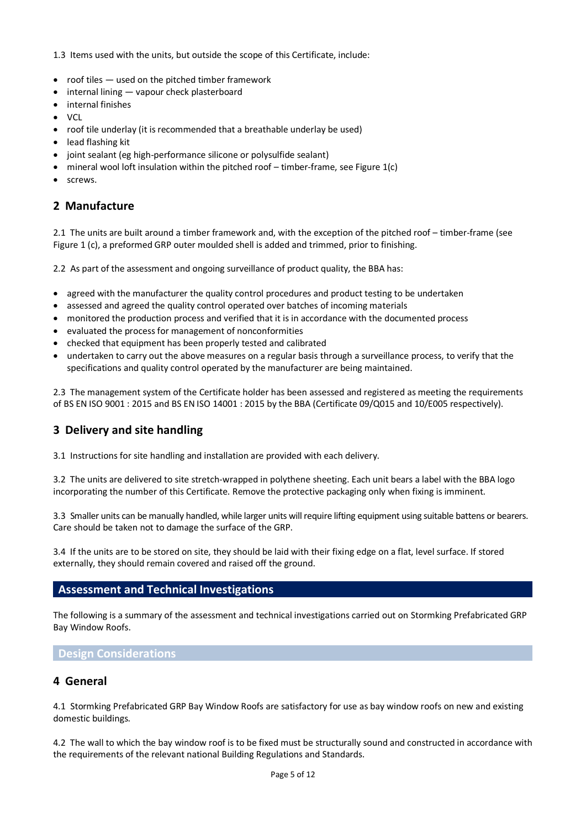1.3 Items used with the units, but outside the scope of this Certificate, include:

- roof tiles used on the pitched timber framework
- internal lining vapour check plasterboard
- internal finishes
- $\bullet$  VCL
- roof tile underlay (it is recommended that a breathable underlay be used)
- lead flashing kit
- joint sealant (eg high-performance silicone or polysulfide sealant)
- mineral wool loft insulation within the pitched roof  $-$  timber-frame, see Figure  $1(c)$
- screws.

# **2 Manufacture**

2.1 The units are built around a timber framework and, with the exception of the pitched roof – timber-frame (see Figure 1 (c), a preformed GRP outer moulded shell is added and trimmed, prior to finishing.

2.2 As part of the assessment and ongoing surveillance of product quality, the BBA has:

- agreed with the manufacturer the quality control procedures and product testing to be undertaken
- assessed and agreed the quality control operated over batches of incoming materials
- monitored the production process and verified that it is in accordance with the documented process
- evaluated the process for management of nonconformities
- checked that equipment has been properly tested and calibrated
- undertaken to carry out the above measures on a regular basis through a surveillance process, to verify that the specifications and quality control operated by the manufacturer are being maintained.

2.3 The management system of the Certificate holder has been assessed and registered as meeting the requirements of BS EN ISO 9001 : 2015 and BS EN ISO 14001 : 2015 by the BBA (Certificate 09/Q015 and 10/E005 respectively).

# **3 Delivery and site handling**

3.1 Instructions for site handling and installation are provided with each delivery.

3.2 The units are delivered to site stretch-wrapped in polythene sheeting. Each unit bears a label with the BBA logo incorporating the number of this Certificate. Remove the protective packaging only when fixing is imminent.

3.3 Smaller units can be manually handled, while larger units will require lifting equipment using suitable battens or bearers. Care should be taken not to damage the surface of the GRP.

3.4 If the units are to be stored on site, they should be laid with their fixing edge on a flat, level surface. If stored externally, they should remain covered and raised off the ground.

#### **Assessment and Technical Investigations**

The following is a summary of the assessment and technical investigations carried out on Stormking Prefabricated GRP Bay Window Roofs.

#### **Design Considerations**

#### **4 General**

4.1 Stormking Prefabricated GRP Bay Window Roofs are satisfactory for use as bay window roofs on new and existing domestic buildings.

4.2 The wall to which the bay window roof is to be fixed must be structurally sound and constructed in accordance with the requirements of the relevant national Building Regulations and Standards.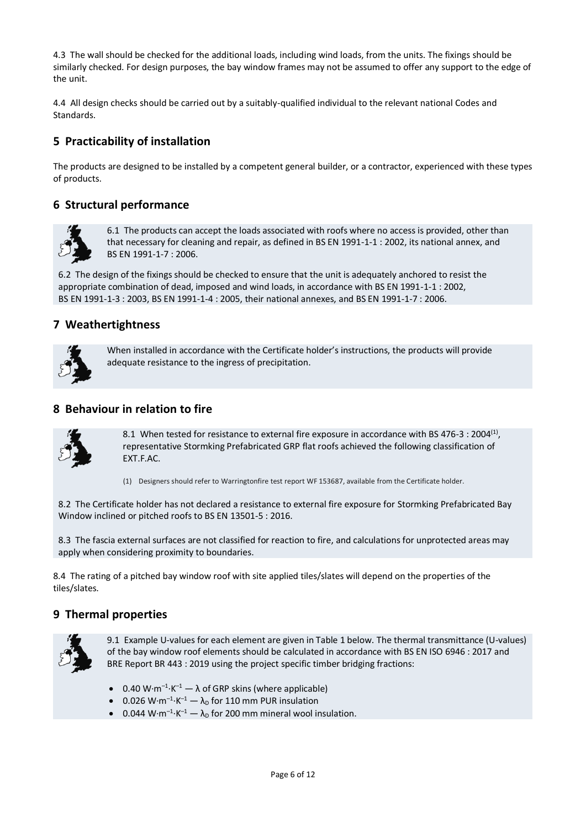4.3 The wall should be checked for the additional loads, including wind loads, from the units. The fixings should be similarly checked. For design purposes, the bay window frames may not be assumed to offer any support to the edge of the unit.

4.4 All design checks should be carried out by a suitably-qualified individual to the relevant national Codes and Standards.

# **5 Practicability of installation**

The products are designed to be installed by a competent general builder, or a contractor, experienced with these types of products.

# **6 Structural performance**



6.1 The products can accept the loads associated with roofs where no access is provided, other than that necessary for cleaning and repair, as defined in BS EN 1991-1-1 : 2002, its national annex, and BS EN 1991-1-7 : 2006.

6.2 The design of the fixings should be checked to ensure that the unit is adequately anchored to resist the appropriate combination of dead, imposed and wind loads, in accordance with BS EN 1991-1-1 : 2002, BS EN 1991-1-3 : 2003, BS EN 1991-1-4 : 2005, their national annexes, and BS EN 1991-1-7 : 2006.

#### **7 Weathertightness**



When installed in accordance with the Certificate holder's instructions, the products will provide adequate resistance to the ingress of precipitation.

#### **8 Behaviour in relation to fire**



8.1 When tested for resistance to external fire exposure in accordance with BS 476-3 : 2004<sup>(1)</sup>, representative Stormking Prefabricated GRP flat roofs achieved the following classification of EXT.F.AC.

(1) Designers should refer to Warringtonfire test report WF 153687, available from the Certificate holder.

8.2 The Certificate holder has not declared a resistance to external fire exposure for Stormking Prefabricated Bay Window inclined or pitched roofs to BS EN 13501-5 : 2016.

8.3 The fascia external surfaces are not classified for reaction to fire, and calculations for unprotected areas may apply when considering proximity to boundaries.

8.4 The rating of a pitched bay window roof with site applied tiles/slates will depend on the properties of the tiles/slates.

#### **9 Thermal properties**



9.1 Example U-values for each element are given in Table 1 below. The thermal transmittance (U-values) of the bay window roof elements should be calculated in accordance with BS EN ISO 6946 : 2017 and BRE Report BR 443 : 2019 using the project specific timber bridging fractions:

- 0.40 W⋅m<sup>-1</sup>⋅K<sup>-1</sup>  $-$  λ of GRP skins (where applicable)
- 0.026 W⋅m<sup>-1</sup>⋅K<sup>-1</sup>  $-\lambda_{\text{D}}$  for 110 mm PUR insulation
- 0.044 W⋅m<sup>-1</sup>⋅K<sup>-1</sup>  $-\lambda_{\text{D}}$  for 200 mm mineral wool insulation.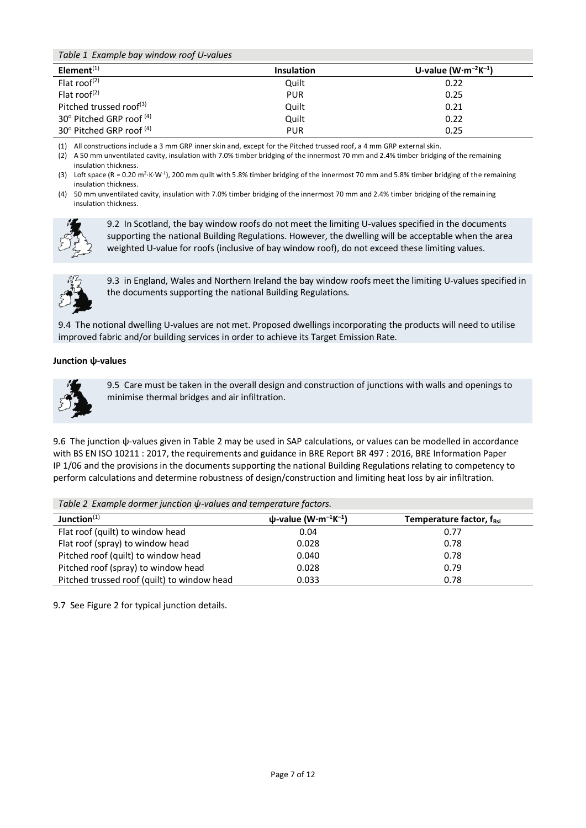*Table 1 Example bay window roof U-values*

| Element $(1)$                         | <b>Insulation</b> | U-value $(W \cdot m^{-2}K^{-1})$ |
|---------------------------------------|-------------------|----------------------------------|
| Flat roof <sup>(2)</sup>              | Quilt             | 0.22                             |
| Flat roof <sup><math>(2)</math></sup> | <b>PUR</b>        | 0.25                             |
| Pitched trussed roof <sup>(3)</sup>   | Quilt             | 0.21                             |
| 30° Pitched GRP roof (4)              | Quilt             | 0.22                             |
| 30° Pitched GRP roof (4)              | <b>PUR</b>        | 0.25                             |

(1) All constructions include a 3 mm GRP inner skin and, except for the Pitched trussed roof, a 4 mm GRP external skin.

(2) A 50 mm unventilated cavity, insulation with 7.0% timber bridging of the innermost 70 mm and 2.4% timber bridging of the remaining insulation thickness.

(3) Loft space (R = 0.20 m<sup>2.</sup>K⋅W<sup>-1</sup>), 200 mm quilt with 5.8% timber bridging of the innermost 70 mm and 5.8% timber bridging of the remaining insulation thickness.

(4) 50 mm unventilated cavity, insulation with 7.0% timber bridging of the innermost 70 mm and 2.4% timber bridging of the remaining insulation thickness.



9.2 In Scotland, the bay window roofs do not meet the limiting U-values specified in the documents supporting the national Building Regulations. However, the dwelling will be acceptable when the area weighted U-value for roofs (inclusive of bay window roof), do not exceed these limiting values.



9.3in England, Wales and Northern Ireland the bay window roofs meet the limiting U-values specified in the documents supporting the national Building Regulations.

9.4 The notional dwelling U-values are not met. Proposed dwellings incorporating the products will need to utilise improved fabric and/or building services in order to achieve its Target Emission Rate.

#### **Junction ψ-values**



9.5 Care must be taken in the overall design and construction of junctions with walls and openings to minimise thermal bridges and air infiltration.

9.6 The junction ψ-values given in Table 2 may be used in SAP calculations, or values can be modelled in accordance with BS EN ISO 10211 : 2017, the requirements and guidance in BRE Report BR 497 : 2016, BRE Information Paper IP 1/06 and the provisions in the documents supporting the national Building Regulations relating to competency to perform calculations and determine robustness of design/construction and limiting heat loss by air infiltration.

| Table 2 Example dormer junction $\psi$ -values and temperature factors. |                                                    |                                      |  |  |  |  |
|-------------------------------------------------------------------------|----------------------------------------------------|--------------------------------------|--|--|--|--|
| Junction $(1)$                                                          | $\psi$ -value (W·m <sup>-1</sup> K <sup>-1</sup> ) | Temperature factor, f <sub>Rsi</sub> |  |  |  |  |
| Flat roof (quilt) to window head                                        | 0.04                                               | 0.77                                 |  |  |  |  |
| Flat roof (spray) to window head                                        | 0.028                                              | 0.78                                 |  |  |  |  |
| Pitched roof (quilt) to window head                                     | 0.040                                              | 0.78                                 |  |  |  |  |
| Pitched roof (spray) to window head                                     | 0.028                                              | 0.79                                 |  |  |  |  |
| Pitched trussed roof (quilt) to window head                             | 0.033                                              | 0.78                                 |  |  |  |  |

9.7 See Figure 2 for typical junction details.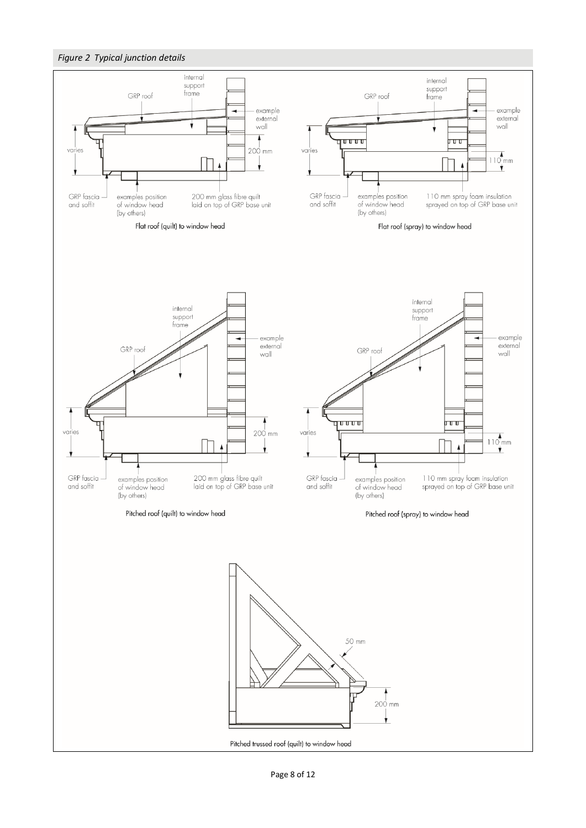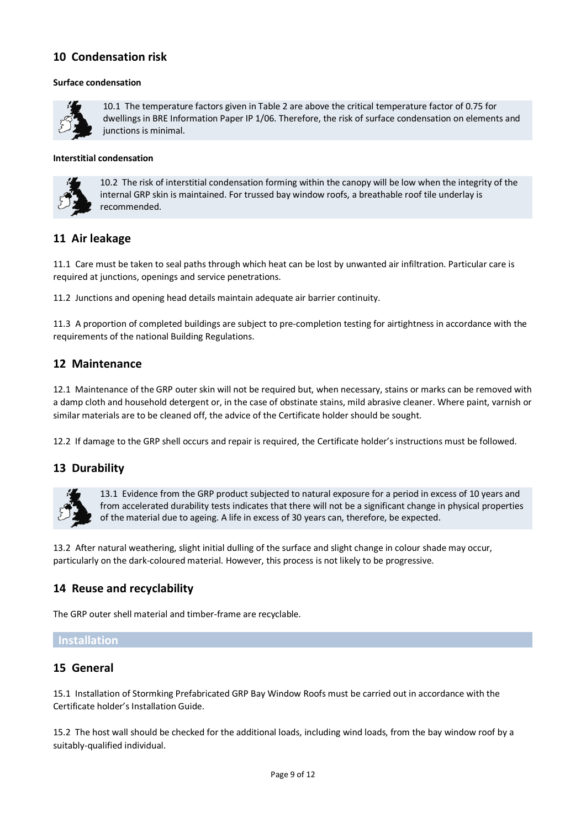# **10 Condensation risk**

#### **Surface condensation**



10.1 The temperature factors given in Table 2 are above the critical temperature factor of 0.75 for dwellings in BRE Information Paper IP 1/06. Therefore, the risk of surface condensation on elements and junctions is minimal.

#### **Interstitial condensation**



10.2 The risk of interstitial condensation forming within the canopy will be low when the integrity of the internal GRP skin is maintained. For trussed bay window roofs, a breathable roof tile underlay is recommended.

## **11 Air leakage**

11.1 Care must be taken to seal paths through which heat can be lost by unwanted air infiltration. Particular care is required at junctions, openings and service penetrations.

11.2 Junctions and opening head details maintain adequate air barrier continuity.

11.3 A proportion of completed buildings are subject to pre-completion testing for airtightness in accordance with the requirements of the national Building Regulations.

## **12 Maintenance**

12.1 Maintenance of the GRP outer skin will not be required but, when necessary, stains or marks can be removed with a damp cloth and household detergent or, in the case of obstinate stains, mild abrasive cleaner. Where paint, varnish or similar materials are to be cleaned off, the advice of the Certificate holder should be sought.

12.2 If damage to the GRP shell occurs and repair is required, the Certificate holder's instructions must be followed.

# **13 Durability**



13.1 Evidence from the GRP product subjected to natural exposure for a period in excess of 10 years and from accelerated durability tests indicates that there will not be a significant change in physical properties of the material due to ageing. A life in excess of 30 years can, therefore, be expected.

13.2 After natural weathering, slight initial dulling of the surface and slight change in colour shade may occur, particularly on the dark-coloured material. However, this process is not likely to be progressive.

# **14 Reuse and recyclability**

The GRP outer shell material and timber-frame are recyclable.

#### **Installation**

#### **15 General**

15.1 Installation of Stormking Prefabricated GRP Bay Window Roofs must be carried out in accordance with the Certificate holder's Installation Guide.

15.2 The host wall should be checked for the additional loads, including wind loads, from the bay window roof by a suitably-qualified individual.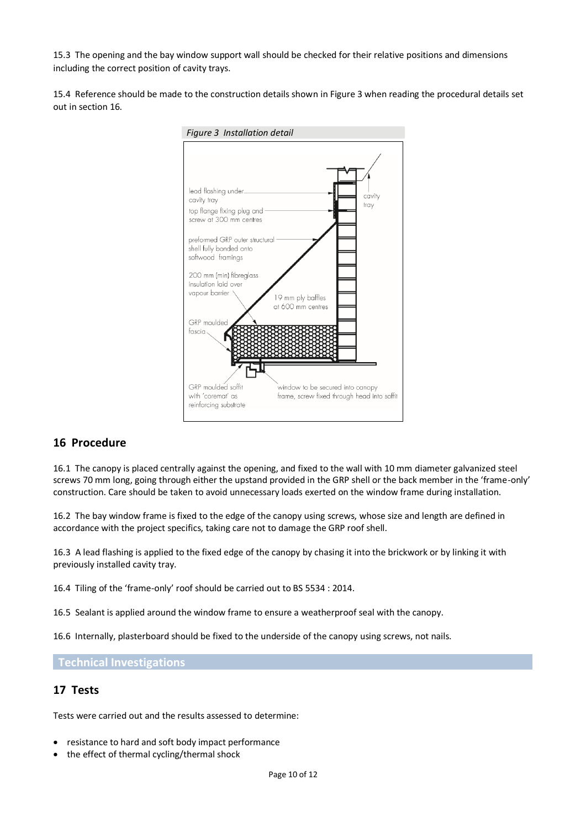15.3 The opening and the bay window support wall should be checked for their relative positions and dimensions including the correct position of cavity trays.

15.4 Reference should be made to the construction details shown in Figure 3 when reading the procedural details set out in section 16.



# **16 Procedure**

16.1 The canopy is placed centrally against the opening, and fixed to the wall with 10 mm diameter galvanized steel screws 70 mm long, going through either the upstand provided in the GRP shell or the back member in the 'frame-only' construction. Care should be taken to avoid unnecessary loads exerted on the window frame during installation.

16.2 The bay window frame is fixed to the edge of the canopy using screws, whose size and length are defined in accordance with the project specifics, taking care not to damage the GRP roof shell.

16.3 A lead flashing is applied to the fixed edge of the canopy by chasing it into the brickwork or by linking it with previously installed cavity tray.

16.4 Tiling of the 'frame-only' roof should be carried out to BS 5534 : 2014.

16.5 Sealant is applied around the window frame to ensure a weatherproof seal with the canopy.

16.6 Internally, plasterboard should be fixed to the underside of the canopy using screws, not nails.

**Technical Investigations**

#### **17 Tests**

Tests were carried out and the results assessed to determine:

- resistance to hard and soft body impact performance
- the effect of thermal cycling/thermal shock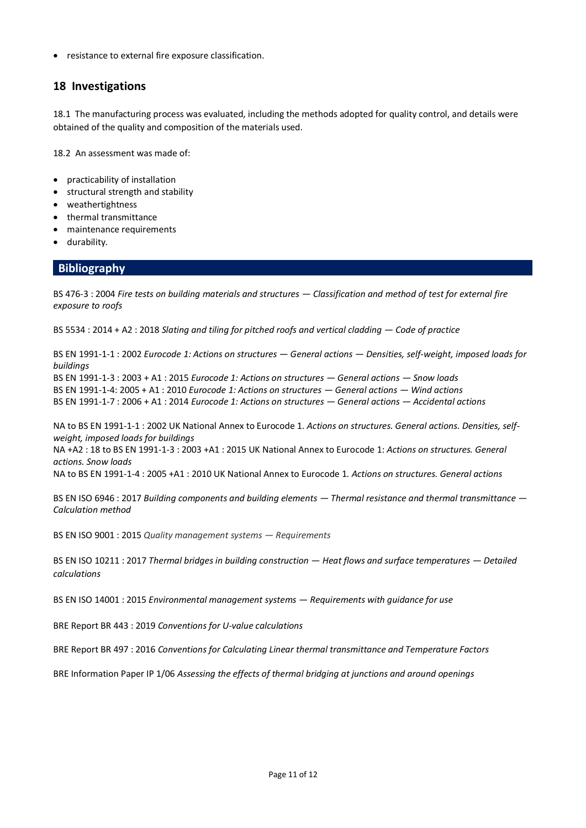• resistance to external fire exposure classification.

## **18 Investigations**

18.1 The manufacturing process was evaluated, including the methods adopted for quality control, and details were obtained of the quality and composition of the materials used.

18.2 An assessment was made of:

- practicability of installation
- structural strength and stability
- weathertightness
- thermal transmittance
- maintenance requirements
- durability.

#### **Bibliography**

BS 476-3 : 2004 *Fire tests on building materials and structures — Classification and method of test for external fire exposure to roofs*

BS 5534 : 2014 + A2 : 2018 *Slating and tiling for pitched roofs and vertical cladding — Code of practice*

BS EN 1991-1-1 : 2002 *Eurocode 1: Actions on structures — General actions — Densities, self-weight, imposed loads for buildings*

BS EN 1991-1-3 : 2003 + A1 : 2015 *Eurocode 1: Actions on structures — General actions — Snow loads* BS EN 1991-1-4: 2005 + A1 : 2010 *Eurocode 1: Actions on structures — General actions — Wind actions* BS EN 1991-1-7 : 2006 + A1 : 2014 *Eurocode 1: Actions on structures — General actions — Accidental actions*

NA to BS EN 1991-1-1 : 2002 UK National Annex to Eurocode 1. *Actions on structures. General actions. Densities, selfweight, imposed loads for buildings*

NA +A2 : 18 to BS EN 1991-1-3 : 2003 +A1 : 2015 UK National Annex to Eurocode 1: *Actions on structures. General actions. Snow loads*

NA to BS EN 1991-1-4 : 2005 +A1 : 2010 UK National Annex to Eurocode 1. *Actions on structures. General actions*

BS EN ISO 6946 : 2017 *Building components and building elements — Thermal resistance and thermal transmittance — Calculation method*

BS EN ISO 9001 : 2015 *Quality management systems — Requirements*

BS EN ISO 10211 : 2017 *Thermal bridges in building construction — Heat flows and surface temperatures — Detailed calculations*

BS EN ISO 14001 : 2015 *Environmental management systems — Requirements with guidance for use*

BRE Report BR 443 : 2019 *Conventions for U-value calculations*

BRE Report BR 497 : 2016 *Conventions for Calculating Linear thermal transmittance and Temperature Factors*

BRE Information Paper IP 1/06 *Assessing the effects of thermal bridging at junctions and around openings*